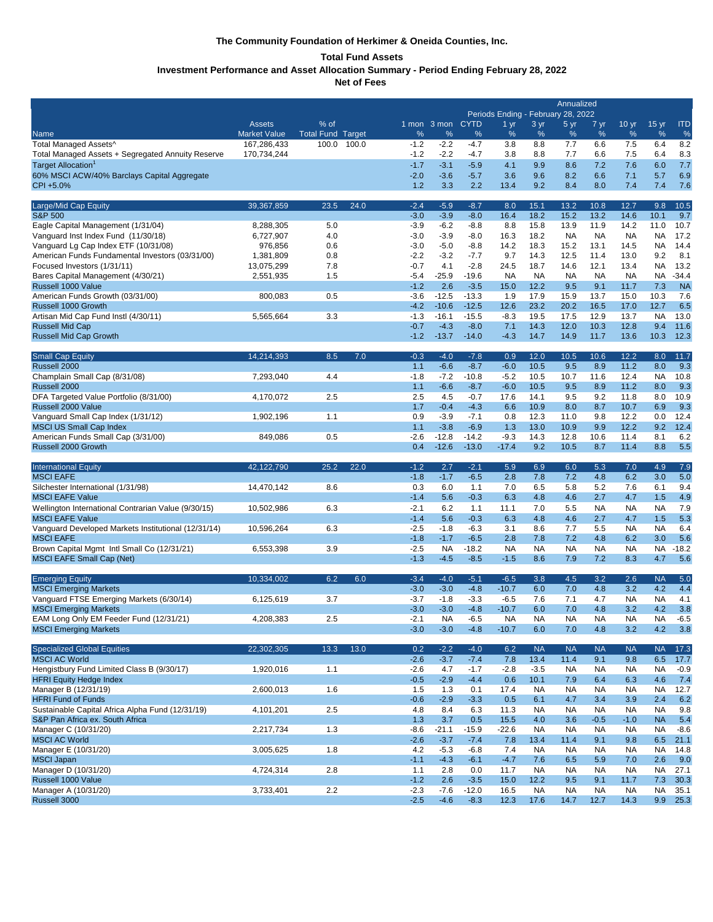# **The Community Foundation of Herkimer & Oneida Counties, Inc.**

# **Total Fund Assets**

**Investment Performance and Asset Allocation Summary - Period Ending February 28, 2022**

**Net of Fees** 

|                                                                                     | Annualized<br>Periods Ending - February 28, 2022 |                          |       |                  |                     |                    |                   |                   |                   |                   |                   |                   |              |
|-------------------------------------------------------------------------------------|--------------------------------------------------|--------------------------|-------|------------------|---------------------|--------------------|-------------------|-------------------|-------------------|-------------------|-------------------|-------------------|--------------|
|                                                                                     | <b>Assets</b>                                    | % of                     |       |                  | 1 mon 3 mon CYTD    |                    | 1 <sub>yr</sub>   | 3 yr              | 5 yr              | 7 yr              | 10 <sub>yr</sub>  | $15 \text{ yr}$   | <b>ITD</b>   |
| Name                                                                                | <b>Market Value</b>                              | <b>Total Fund Target</b> |       | %                | $\%$                | %                  | %                 | %                 | %                 | %                 | %                 | $\%$              | %            |
| Total Managed Assets^                                                               | 167,286,433                                      | 100.0                    | 100.0 | $-1.2$           | $-2.2$              | -4.7               | 3.8               | 8.8               | 7.7               | 6.6               | 7.5               | 6.4               | 8.2          |
| Total Managed Assets + Segregated Annuity Reserve<br>Target Allocation <sup>1</sup> | 170,734,244                                      |                          |       | $-1.2$<br>$-1.7$ | $-2.2$<br>$-3.1$    | $-4.7$<br>$-5.9$   | 3.8<br>4.1        | 8.8<br>9.9        | 7.7<br>8.6        | 6.6<br>7.2        | 7.5               | 6.4               | 8.3          |
| 60% MSCI ACW/40% Barclays Capital Aggregate                                         |                                                  |                          |       | $-2.0$           | $-3.6$              | $-5.7$             | 3.6               | 9.6               | 8.2               | 6.6               | 7.6<br>7.1        | 6.0<br>5.7        | 7.7<br>6.9   |
| CPI +5.0%                                                                           |                                                  |                          |       | 1.2              | 3.3                 | 2.2                | 13.4              | 9.2               | 8.4               | 8.0               | 7.4               | 7.4               | 7.6          |
| Large/Mid Cap Equity                                                                | 39,367,859                                       | 23.5                     | 24.0  | $-2.4$           | $-5.9$              | $-8.7$             | 8.0               | 15.1              | 13.2              | 10.8              | 12.7              | 9.8               | 10.5         |
| <b>S&amp;P 500</b>                                                                  |                                                  |                          |       | $-3.0$           | $-3.9$              | $-8.0$             | 16.4              | 18.2              | 15.2              | 13.2              | 14.6              | 10.1              | 9.7          |
| Eagle Capital Management (1/31/04)                                                  | 8,288,305                                        | 5.0                      |       | $-3.9$           | $-6.2$              | $-8.8$             | 8.8               | 15.8              | 13.9              | 11.9              | 14.2              | 11.0              | 10.7         |
| Vanguard Inst Index Fund (11/30/18)<br>Vanguard Lg Cap Index ETF (10/31/08)         | 6,727,907<br>976,856                             | 4.0<br>0.6               |       | $-3.0$<br>$-3.0$ | $-3.9$<br>$-5.0$    | $-8.0$<br>$-8.8$   | 16.3<br>14.2      | 18.2<br>18.3      | <b>NA</b><br>15.2 | <b>NA</b><br>13.1 | <b>NA</b><br>14.5 | NA<br><b>NA</b>   | 17.2<br>14.4 |
| American Funds Fundamental Investors (03/31/00)                                     | 1,381,809                                        | 0.8                      |       | $-2.2$           | $-3.2$              | $-7.7$             | 9.7               | 14.3              | 12.5              | 11.4              | 13.0              | 9.2               | 8.1          |
| Focused Investors (1/31/11)                                                         | 13,075,299                                       | 7.8                      |       | $-0.7$           | 4.1                 | $-2.8$             | 24.5              | 18.7              | 14.6              | 12.1              | 13.4              | <b>NA</b>         | 13.2         |
| Bares Capital Management (4/30/21)                                                  | 2,551,935                                        | 1.5                      |       | $-5.4$           | $-25.9$             | $-19.6$            | <b>NA</b>         | <b>NA</b>         | <b>NA</b>         | <b>NA</b>         | <b>NA</b>         | NA                | $-34.4$      |
| Russell 1000 Value                                                                  |                                                  |                          |       | $-1.2$           | 2.6                 | $-3.5$             | 15.0              | 12.2              | 9.5               | 9.1               | 11.7              | 7.3               | <b>NA</b>    |
| American Funds Growth (03/31/00)                                                    | 800,083                                          | 0.5                      |       | $-3.6$           | $-12.5$             | $-13.3$            | 1.9               | 17.9              | 15.9              | 13.7              | 15.0              | 10.3              | 7.6          |
| Russell 1000 Growth<br>Artisan Mid Cap Fund Instl (4/30/11)                         | 5,565,664                                        | 3.3                      |       | $-4.2$<br>$-1.3$ | $-10.6$<br>$-16.1$  | $-12.5$<br>$-15.5$ | 12.6<br>$-8.3$    | 23.2<br>19.5      | 20.2<br>17.5      | 16.5<br>12.9      | 17.0<br>13.7      | 12.7<br><b>NA</b> | 6.5<br>13.0  |
| <b>Russell Mid Cap</b>                                                              |                                                  |                          |       | $-0.7$           | $-4.3$              | $-8.0$             | 7.1               | 14.3              | 12.0              | 10.3              | 12.8              | 9.4               | 11.6         |
| Russell Mid Cap Growth                                                              |                                                  |                          |       | $-1.2$           | $-13.7$             | $-14.0$            | $-4.3$            | 14.7              | 14.9              | 11.7              | 13.6              | 10.3              | 12.3         |
| <b>Small Cap Equity</b>                                                             | 14,214,393                                       | 8.5                      | 7.0   | $-0.3$           | $-4.0$              | $-7.8$             | 0.9               | 12.0              | 10.5              | 10.6              | 12.2              | 8.0               | 11.7         |
| Russell 2000                                                                        |                                                  |                          |       | 1.1              | $-6.6$              | $-8.7$             | $-6.0$            | 10.5              | 9.5               | 8.9               | 11.2              | 8.0               | 9.3          |
| Champlain Small Cap (8/31/08)                                                       | 7,293,040                                        | 4.4                      |       | $-1.8$<br>1.1    | $-7.2$<br>$-6.6$    | $-10.8$<br>$-8.7$  | $-5.2$<br>$-6.0$  | 10.5<br>10.5      | 10.7<br>9.5       | 11.6<br>8.9       | 12.4<br>11.2      | <b>NA</b><br>8.0  | 10.8<br>9.3  |
| Russell 2000<br>DFA Targeted Value Portfolio (8/31/00)                              | 4,170,072                                        | 2.5                      |       | 2.5              | 4.5                 | $-0.7$             | 17.6              | 14.1              | 9.5               | 9.2               | 11.8              | 8.0               | 10.9         |
| Russell 2000 Value                                                                  |                                                  |                          |       | 1.7              | $-0.4$              | $-4.3$             | 6.6               | 10.9              | 8.0               | 8.7               | 10.7              | 6.9               | 9.3          |
| Vanguard Small Cap Index (1/31/12)                                                  | 1,902,196                                        | 1.1                      |       | 0.9              | $-3.9$              | $-7.1$             | 0.8               | 12.3              | 11.0              | 9.8               | 12.2              | 0.0               | 12.4         |
| <b>MSCI US Small Cap Index</b>                                                      |                                                  |                          |       | 1.1              | $-3.8$              | $-6.9$             | 1.3               | 13.0              | 10.9              | 9.9               | 12.2              | 9.2               | 12.4         |
| American Funds Small Cap (3/31/00)                                                  | 849,086                                          | 0.5                      |       | $-2.6$           | $-12.8$             | $-14.2$            | $-9.3$            | 14.3              | 12.8              | 10.6              | 11.4              | 8.1               | 6.2          |
| Russell 2000 Growth                                                                 |                                                  |                          |       | 0.4              | $-12.6$             | $-13.0$            | $-17.4$           | 9.2               | 10.5              | 8.7               | 11.4              | 8.8               | 5.5          |
| <b>International Equity</b>                                                         | 42,122,790                                       | 25.2                     | 22.0  | $-1.2$           | 2.7                 | $-2.1$             | 5.9               | 6.9               | 6.0               | 5.3               | 7.0               | 4.9               | 7.9          |
| <b>MSCI EAFE</b>                                                                    |                                                  |                          |       | $-1.8$           | $-1.7$              | $-6.5$             | 2.8               | 7.8               | 7.2               | 4.8               | 6.2               | 3.0               | 5.0          |
| Silchester International (1/31/98)<br><b>MSCI EAFE Value</b>                        | 14,470,142                                       | 8.6                      |       | 0.3<br>$-1.4$    | 6.0<br>5.6          | 1.1<br>$-0.3$      | 7.0<br>6.3        | 6.5<br>4.8        | 5.8<br>4.6        | 5.2<br>2.7        | 7.6<br>4.7        | 6.1<br>1.5        | 9.4<br>4.9   |
| Wellington International Contrarian Value (9/30/15)                                 | 10,502,986                                       | 6.3                      |       | $-2.1$           | 6.2                 | 1.1                | 11.1              | 7.0               | 5.5               | <b>NA</b>         | <b>NA</b>         | <b>NA</b>         | 7.9          |
| <b>MSCI EAFE Value</b>                                                              |                                                  |                          |       | $-1.4$           | 5.6                 | $-0.3$             | 6.3               | 4.8               | 4.6               | 2.7               | 4.7               | 1.5               | 5.3          |
| Vanguard Developed Markets Institutional (12/31/14)                                 | 10,596,264                                       | 6.3                      |       | $-2.5$           | $-1.8$              | $-6.3$             | 3.1               | 8.6               | 7.7               | 5.5               | <b>NA</b>         | <b>NA</b>         | 6.4          |
| <b>MSCI EAFE</b>                                                                    |                                                  |                          |       | $-1.8$           | $-1.7$              | $-6.5$             | 2.8               | 7.8               | 7.2               | 4.8               | 6.2               | 3.0               | 5.6          |
| Brown Capital Mgmt Intl Small Co (12/31/21)                                         | 6,553,398                                        | 3.9                      |       | $-2.5$<br>$-1.3$ | <b>NA</b><br>$-4.5$ | $-18.2$            | <b>NA</b>         | <b>NA</b><br>8.6  | <b>NA</b>         | NA                | NA                | NA<br>4.7         | $-18.2$      |
| <b>MSCI EAFE Small Cap (Net)</b>                                                    |                                                  |                          |       |                  |                     | $-8.5$             | $-1.5$            |                   | 7.9               | 7.2               | 8.3               |                   | 5.6          |
| <b>Emerging Equity</b>                                                              | 10.334.002                                       | 6.2                      | 6.0   | $-3.4$           | $-4.0$              | $-5.1$             | $-6.5$            | 3.8               | 4.5               | 3.2               | 2.6               | <b>NA</b>         | 5.0          |
| <b>MSCI Emerging Markets</b>                                                        |                                                  |                          |       | $-3.0$           | $-3.0$              | $-4.8$             | $-10.7$           | 6.0               | 7.0               | 4.8               | 3.2               | 4.2               | 4.4          |
| Vanguard FTSE Emerging Markets (6/30/14)<br><b>MSCI Emerging Markets</b>            | 6,125,619                                        | 3.7                      |       | $-3.7$<br>$-3.0$ | $-1.8$<br>$-3.0$    | $-3.3$<br>$-4.8$   | $-6.5$<br>$-10.7$ | 7.6<br>6.0        | 7.1<br>7.0        | 4.7<br>4.8        | NA<br>3.2         | <b>NA</b><br>4.2  | 4.1<br>3.8   |
| EAM Long Only EM Feeder Fund (12/31/21)                                             | 4,208,383                                        | 2.5                      |       | $-2.1$           | <b>NA</b>           | $-6.5$             | <b>NA</b>         | <b>NA</b>         | <b>NA</b>         | <b>NA</b>         | <b>NA</b>         | <b>NA</b>         | $-6.5$       |
| <b>MSCI Emerging Markets</b>                                                        |                                                  |                          |       | $-3.0$           | $-3.0$              | $-4.8$             | $-10.7$           | 6.0               | 7.0               | 4.8               | 3.2               | 4.2               | 3.8          |
| <b>Specialized Global Equities</b>                                                  | 22,302,305                                       | 13.3                     | 13.0  | 0.2              | $-2.2$              | $-4.0$             | 6.2               | <b>NA</b>         | <b>NA</b>         | <b>NA</b>         | <b>NA</b>         | <b>NA</b>         | 17.3         |
| <b>MSCI AC World</b>                                                                |                                                  |                          |       | $-2.6$           | $-3.7$              | $-7.4$             | 7.8               | 13.4              | 11.4              | 9.1               | 9.8               | 6.5               | 17.7         |
| Hengistbury Fund Limited Class B (9/30/17)                                          | 1,920,016                                        | 1.1                      |       | $-2.6$           | 4.7                 | $-1.7$             | $-2.8$            | $-3.5$            | <b>NA</b>         | <b>NA</b>         | <b>NA</b>         | <b>NA</b>         | $-0.9$       |
| <b>HFRI Equity Hedge Index</b><br>Manager B (12/31/19)                              | 2,600,013                                        | 1.6                      |       | $-0.5$<br>1.5    | $-2.9$<br>1.3       | $-4.4$<br>0.1      | 0.6<br>17.4       | 10.1<br><b>NA</b> | 7.9<br><b>NA</b>  | 6.4<br><b>NA</b>  | 6.3<br><b>NA</b>  | 4.6<br>NA         | 7.4<br>12.7  |
| <b>HFRI Fund of Funds</b>                                                           |                                                  |                          |       | $-0.6$           | $-2.9$              | $-3.3$             | 0.5               | 6.1               | 4.7               | 3.4               | 3.9               | 2.4               | 6.2          |
| Sustainable Capital Africa Alpha Fund (12/31/19)                                    | 4,101,201                                        | 2.5                      |       | 4.8              | 8.4                 | 6.3                | 11.3              | <b>NA</b>         | <b>NA</b>         | <b>NA</b>         | <b>NA</b>         | <b>NA</b>         | 9.8          |
| S&P Pan Africa ex. South Africa                                                     |                                                  |                          |       | 1.3              | 3.7                 | 0.5                | 15.5              | 4.0               | 3.6               | $-0.5$            | $-1.0$            | <b>NA</b>         | 5.4          |
| Manager C (10/31/20)                                                                | 2,217,734                                        | 1.3                      |       | $-8.6$           | $-21.1$             | $-15.9$            | $-22.6$           | <b>NA</b>         | <b>NA</b>         | <b>NA</b>         | <b>NA</b>         | <b>NA</b>         | $-8.6$       |
| <b>MSCI AC World</b>                                                                |                                                  |                          |       | $-2.6$           | $-3.7$              | $-7.4$             | 7.8               | 13.4              | 11.4              | 9.1               | 9.8               | 6.5               | 21.1         |
| Manager E (10/31/20)<br><b>MSCI Japan</b>                                           | 3,005,625                                        | 1.8                      |       | 4.2<br>$-1.1$    | $-5.3$<br>$-4.3$    | $-6.8$<br>$-6.1$   | 7.4<br>$-4.7$     | <b>NA</b><br>7.6  | <b>NA</b><br>6.5  | <b>NA</b><br>5.9  | <b>NA</b><br>7.0  | <b>NA</b><br>2.6  | 14.8<br>9.0  |
| Manager D (10/31/20)                                                                | 4,724,314                                        | 2.8                      |       | 1.1              | 2.8                 | 0.0                | 11.7              | <b>NA</b>         | <b>NA</b>         | <b>NA</b>         | <b>NA</b>         | NA                | 27.1         |
| Russell 1000 Value                                                                  |                                                  |                          |       | $-1.2$           | 2.6                 | $-3.5$             | 15.0              | 12.2              | 9.5               | 9.1               | 11.7              | 7.3               | 30.3         |
| Manager A (10/31/20)                                                                | 3,733,401                                        | 2.2                      |       | $-2.3$           | $-7.6$              | $-12.0$            | 16.5              | <b>NA</b>         | <b>NA</b>         | <b>NA</b>         | <b>NA</b>         | <b>NA</b>         | 35.1         |
| Russell 3000                                                                        |                                                  |                          |       | $-2.5$           | $-4.6$              | $-8.3$             | 12.3              | 17.6              | 14.7              | 12.7              | 14.3              | 9.9               | 25.3         |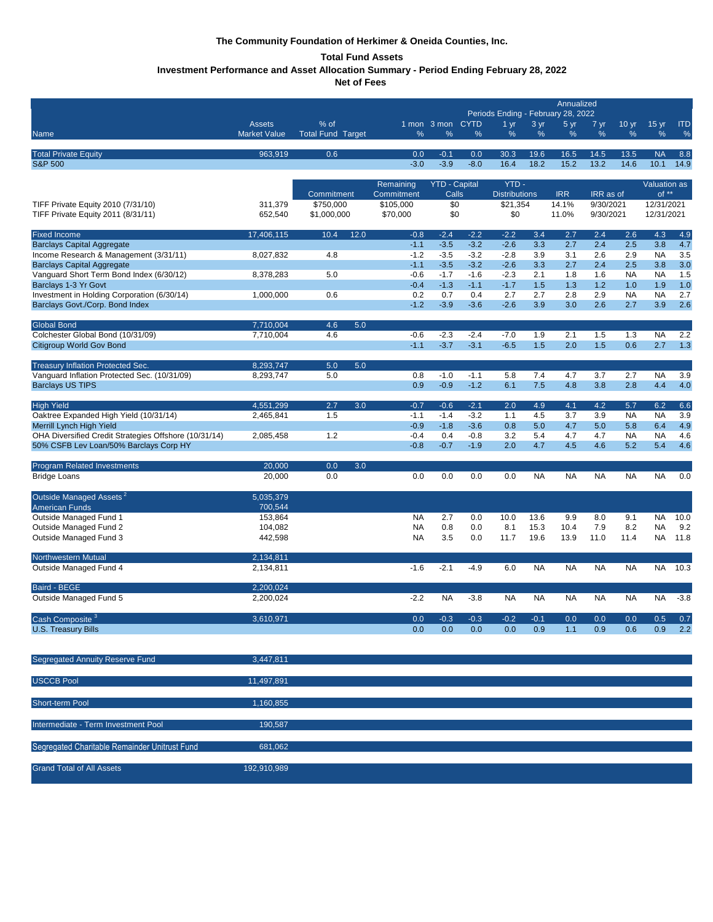# **The Community Foundation of Herkimer & Oneida Counties, Inc.**

# **Total Fund Assets**

**Investment Performance and Asset Allocation Summary - Period Ending February 28, 2022**

**Net of Fees** 

| Periods Ending - February 28, 2022<br>3 yr<br>5 yr<br>% of<br>1 mon 3 mon CYTD<br>$15 \text{ yr}$<br><b>ITD</b><br><b>Assets</b><br>1 <sub>yr</sub><br>7 yr<br>10 <sub>yr</sub><br>%<br>%<br>%<br><b>Market Value</b><br><b>Total Fund Target</b><br>%<br>%<br>%<br>%<br>%<br>%<br>%<br>Name<br>963,919<br>0.6<br>13.5<br><b>Total Private Equity</b><br>0.0<br>$-0.1$<br>0.0<br>30.3<br>19.6<br>16.5<br>14.5<br><b>NA</b><br>8.8<br>$-3.9$<br>14.6<br><b>S&amp;P 500</b><br>$-3.0$<br>$-8.0$<br>16.4<br>18.2<br>15.2<br>13.2<br>10.1<br>14.9<br>YTD-<br>Remaining<br><b>YTD - Capital</b><br>Valuation as<br>$of **$<br>Commitment<br>Calls<br><b>Distributions</b><br><b>IRR</b><br>IRR as of<br>Commitment<br>\$750,000<br>\$105,000<br>\$0<br>\$21,354<br>14.1%<br>9/30/2021<br>12/31/2021<br>TIFF Private Equity 2010 (7/31/10)<br>311,379<br>TIFF Private Equity 2011 (8/31/11)<br>652,540<br>\$1,000,000<br>\$70,000<br>\$0<br>\$0<br>11.0%<br>9/30/2021<br>12/31/2021<br><b>Fixed Income</b><br>17,406,115<br>10.4<br>12.0<br>$-0.8$<br>$-2.4$<br>$-2.2$<br>$-2.2$<br>3.4<br>2.7<br>2.4<br>2.6<br>4.3<br>4.9<br>$-3.5$<br>2.5<br>4.7<br>$-1.1$<br>$-3.2$<br>$-2.6$<br>3.3<br>2.7<br>2.4<br>3.8<br><b>Barclays Capital Aggregate</b><br>Income Research & Management (3/31/11)<br>$-1.2$<br>$-3.5$<br>$-3.2$<br>$-2.8$<br>3.9<br>2.6<br>3.5<br>8,027,832<br>4.8<br>3.1<br>2.9<br><b>NA</b><br>$-3.2$<br>2.7<br>2.5<br>3.0<br><b>Barclays Capital Aggregate</b><br>$-1.1$<br>$-3.5$<br>$-2.6$<br>3.3<br>2.4<br>3.8<br>Vanguard Short Term Bond Index (6/30/12)<br>$-0.6$<br>2.1<br>1.5<br>8,378,283<br>5.0<br>$-1.7$<br>$-1.6$<br>$-2.3$<br>1.8<br>1.6<br><b>NA</b><br><b>NA</b><br>Barclays 1-3 Yr Govt<br>$-1.3$<br>1.5<br>1.2<br>1.9<br>$-0.4$<br>$-1.1$<br>$-1.7$<br>1.3<br>1.0<br>1.0<br>Investment in Holding Corporation (6/30/14)<br>0.6<br>2.9<br>2.7<br>1,000,000<br>0.2<br>0.7<br>0.4<br>2.7<br>2.7<br>2.8<br><b>NA</b><br><b>NA</b><br>$-1.2$<br>3.9<br>Barclays Govt./Corp. Bond Index<br>$-3.9$<br>$-3.6$<br>$-2.6$<br>3.9<br>3.0<br>2.6<br>2.7<br>2.6<br><b>Global Bond</b><br>7.710.004<br>4.6<br>5.0<br>Colchester Global Bond (10/31/09)<br>7.710.004<br>4.6<br>$-2.3$<br>$-7.0$<br>1.5<br>2.2<br>$-0.6$<br>$-2.4$<br>1.9<br>2.1<br>1.3<br><b>NA</b><br>$-1.1$<br>$-3.7$<br>$-3.1$<br>$-6.5$<br>1.5<br>1.5<br>0.6<br>Citigroup World Gov Bond<br>2.0<br>2.7<br>1.3<br>8,293,747<br>5.0<br>5.0<br>Treasury Inflation Protected Sec.<br>Vanquard Inflation Protected Sec. (10/31/09)<br>8,293,747<br>5.0<br>0.8<br>$-1.0$<br>$-1.1$<br>5.8<br>7.4<br>3.7<br>2.7<br><b>NA</b><br>3.9<br>4.7<br><b>Barclays US TIPS</b><br>0.9<br>$-1.2$<br>$-0.9$<br>6.1<br>7.5<br>4.8<br>3.8<br>2.8<br>4.4<br>4.0<br>4,551,299<br>2.7<br>3.0<br>$-2.1$<br>2.0<br>4.1<br>4.2<br>5.7<br><b>High Yield</b><br>$-0.7$<br>$-0.6$<br>4.9<br>6.2<br>6.6<br>Oaktree Expanded High Yield (10/31/14)<br>1.5<br>$-1.1$<br>$-1.4$<br>$-3.2$<br>1.1<br>4.5<br>3.7<br>3.9<br><b>NA</b><br><b>NA</b><br>3.9<br>2,465,841<br>$-0.9$<br>4.9<br>Merrill Lynch High Yield<br>$-1.8$<br>$-3.6$<br>0.8<br>5.0<br>4.7<br>5.0<br>5.8<br>6.4<br>OHA Diversified Credit Strategies Offshore (10/31/14)<br>1.2<br>$-0.4$<br>3.2<br>2,085,458<br>0.4<br>$-0.8$<br>5.4<br>4.7<br>4.7<br><b>NA</b><br><b>NA</b><br>4.6<br>5.2<br>50% CSFB Lev Loan/50% Barclays Corp HY<br>$-0.8$<br>$-0.7$<br>$-1.9$<br>2.0<br>4.7<br>4.5<br>4.6<br>5.4<br>4.6<br>0.0<br>Program Related Investments<br>20,000<br>3.0<br><b>Bridge Loans</b><br>20,000<br>0.0<br>0.0<br>0.0<br>0.0<br>0.0<br><b>NA</b><br><b>NA</b><br><b>NA</b><br><b>NA</b><br><b>NA</b><br>0.0<br>Outside Managed Assets <sup>2</sup><br>5,035,379<br>700,544<br><b>American Funds</b><br>Outside Managed Fund 1<br>153,864<br>2.7<br>10.0<br><b>NA</b><br>0.0<br>10.0<br>13.6<br>9.9<br>8.0<br>9.1<br>NA<br>7.9<br>8.2<br>9.2<br>Outside Managed Fund 2<br>104,082<br>0.8<br>0.0<br>8.1<br>15.3<br>10.4<br>NA<br><b>NA</b><br>Outside Managed Fund 3<br>442,598<br><b>NA</b><br>3.5<br>0.0<br>11.7<br>19.6<br>13.9<br>11.0<br>11.4<br>NA.<br>11.8<br>2,134,811<br>Northwestern Mutual<br>$-2.1$<br>Outside Managed Fund 4<br>2,134,811<br>$-1.6$<br>$-4.9$<br>6.0<br><b>NA</b><br><b>NA</b><br><b>NA</b><br><b>NA</b><br><b>NA</b><br>10.3<br><b>Baird - BEGE</b><br>2,200,024<br>$-3.8$<br>Outside Managed Fund 5<br>2,200,024<br>$-2.2$<br><b>NA</b><br>$-3.8$<br><b>NA</b><br><b>NA</b><br><b>NA</b><br><b>NA</b><br><b>NA</b><br><b>NA</b><br>Cash Composite <sup>3</sup><br>0.3<br>0.2<br>3,610,971<br>0.0<br>0.3<br>0.1<br>0.0<br>0.0<br>0.0<br>0.5<br>0.7<br><b>U.S. Treasury Bills</b><br>0.0<br>0.0<br>0.9<br>1.1<br>0.9<br>0.6<br>0.9<br>2.2<br>0.0<br>0.0<br>Segregated Annuity Reserve Fund<br>3,447,811<br><b>USCCB Pool</b><br>11,497,891<br>1,160,855<br>Short-term Pool<br>190,587<br>Intermediate - Term Investment Pool<br>681,062<br>Segregated Charitable Remainder Unitrust Fund<br><b>Grand Total of All Assets</b> |             |  |  | Annualized |  |  |  |  |  |
|-------------------------------------------------------------------------------------------------------------------------------------------------------------------------------------------------------------------------------------------------------------------------------------------------------------------------------------------------------------------------------------------------------------------------------------------------------------------------------------------------------------------------------------------------------------------------------------------------------------------------------------------------------------------------------------------------------------------------------------------------------------------------------------------------------------------------------------------------------------------------------------------------------------------------------------------------------------------------------------------------------------------------------------------------------------------------------------------------------------------------------------------------------------------------------------------------------------------------------------------------------------------------------------------------------------------------------------------------------------------------------------------------------------------------------------------------------------------------------------------------------------------------------------------------------------------------------------------------------------------------------------------------------------------------------------------------------------------------------------------------------------------------------------------------------------------------------------------------------------------------------------------------------------------------------------------------------------------------------------------------------------------------------------------------------------------------------------------------------------------------------------------------------------------------------------------------------------------------------------------------------------------------------------------------------------------------------------------------------------------------------------------------------------------------------------------------------------------------------------------------------------------------------------------------------------------------------------------------------------------------------------------------------------------------------------------------------------------------------------------------------------------------------------------------------------------------------------------------------------------------------------------------------------------------------------------------------------------------------------------------------------------------------------------------------------------------------------------------------------------------------------------------------------------------------------------------------------------------------------------------------------------------------------------------------------------------------------------------------------------------------------------------------------------------------------------------------------------------------------------------------------------------------------------------------------------------------------------------------------------------------------------------------------------------------------------------------------------------------------------------------------------------------------------------------------------------------------------------------------------------------------------------------------------------------------------------------------------------------------------------------------------------------------------------------------------------------------------------------------------------------------------------------------------------------------------------------------------------------------------------------------------------------------------------------------------------------------------------------------------------------------------------------------------------------------------------------------------------------------------------------------------------------------------------------------------------------------------------------------------------------------------------------------------------------------------------------------------------------------------------------------------------------------------------------------------------------------------------------------------------------------------------------------------------------------------------------------------------|-------------|--|--|------------|--|--|--|--|--|
|                                                                                                                                                                                                                                                                                                                                                                                                                                                                                                                                                                                                                                                                                                                                                                                                                                                                                                                                                                                                                                                                                                                                                                                                                                                                                                                                                                                                                                                                                                                                                                                                                                                                                                                                                                                                                                                                                                                                                                                                                                                                                                                                                                                                                                                                                                                                                                                                                                                                                                                                                                                                                                                                                                                                                                                                                                                                                                                                                                                                                                                                                                                                                                                                                                                                                                                                                                                                                                                                                                                                                                                                                                                                                                                                                                                                                                                                                                                                                                                                                                                                                                                                                                                                                                                                                                                                                                                                                                                                                                                                                                                                                                                                                                                                                                                                                                                                                                                                                                         |             |  |  |            |  |  |  |  |  |
|                                                                                                                                                                                                                                                                                                                                                                                                                                                                                                                                                                                                                                                                                                                                                                                                                                                                                                                                                                                                                                                                                                                                                                                                                                                                                                                                                                                                                                                                                                                                                                                                                                                                                                                                                                                                                                                                                                                                                                                                                                                                                                                                                                                                                                                                                                                                                                                                                                                                                                                                                                                                                                                                                                                                                                                                                                                                                                                                                                                                                                                                                                                                                                                                                                                                                                                                                                                                                                                                                                                                                                                                                                                                                                                                                                                                                                                                                                                                                                                                                                                                                                                                                                                                                                                                                                                                                                                                                                                                                                                                                                                                                                                                                                                                                                                                                                                                                                                                                                         |             |  |  |            |  |  |  |  |  |
|                                                                                                                                                                                                                                                                                                                                                                                                                                                                                                                                                                                                                                                                                                                                                                                                                                                                                                                                                                                                                                                                                                                                                                                                                                                                                                                                                                                                                                                                                                                                                                                                                                                                                                                                                                                                                                                                                                                                                                                                                                                                                                                                                                                                                                                                                                                                                                                                                                                                                                                                                                                                                                                                                                                                                                                                                                                                                                                                                                                                                                                                                                                                                                                                                                                                                                                                                                                                                                                                                                                                                                                                                                                                                                                                                                                                                                                                                                                                                                                                                                                                                                                                                                                                                                                                                                                                                                                                                                                                                                                                                                                                                                                                                                                                                                                                                                                                                                                                                                         |             |  |  |            |  |  |  |  |  |
|                                                                                                                                                                                                                                                                                                                                                                                                                                                                                                                                                                                                                                                                                                                                                                                                                                                                                                                                                                                                                                                                                                                                                                                                                                                                                                                                                                                                                                                                                                                                                                                                                                                                                                                                                                                                                                                                                                                                                                                                                                                                                                                                                                                                                                                                                                                                                                                                                                                                                                                                                                                                                                                                                                                                                                                                                                                                                                                                                                                                                                                                                                                                                                                                                                                                                                                                                                                                                                                                                                                                                                                                                                                                                                                                                                                                                                                                                                                                                                                                                                                                                                                                                                                                                                                                                                                                                                                                                                                                                                                                                                                                                                                                                                                                                                                                                                                                                                                                                                         |             |  |  |            |  |  |  |  |  |
|                                                                                                                                                                                                                                                                                                                                                                                                                                                                                                                                                                                                                                                                                                                                                                                                                                                                                                                                                                                                                                                                                                                                                                                                                                                                                                                                                                                                                                                                                                                                                                                                                                                                                                                                                                                                                                                                                                                                                                                                                                                                                                                                                                                                                                                                                                                                                                                                                                                                                                                                                                                                                                                                                                                                                                                                                                                                                                                                                                                                                                                                                                                                                                                                                                                                                                                                                                                                                                                                                                                                                                                                                                                                                                                                                                                                                                                                                                                                                                                                                                                                                                                                                                                                                                                                                                                                                                                                                                                                                                                                                                                                                                                                                                                                                                                                                                                                                                                                                                         |             |  |  |            |  |  |  |  |  |
|                                                                                                                                                                                                                                                                                                                                                                                                                                                                                                                                                                                                                                                                                                                                                                                                                                                                                                                                                                                                                                                                                                                                                                                                                                                                                                                                                                                                                                                                                                                                                                                                                                                                                                                                                                                                                                                                                                                                                                                                                                                                                                                                                                                                                                                                                                                                                                                                                                                                                                                                                                                                                                                                                                                                                                                                                                                                                                                                                                                                                                                                                                                                                                                                                                                                                                                                                                                                                                                                                                                                                                                                                                                                                                                                                                                                                                                                                                                                                                                                                                                                                                                                                                                                                                                                                                                                                                                                                                                                                                                                                                                                                                                                                                                                                                                                                                                                                                                                                                         |             |  |  |            |  |  |  |  |  |
|                                                                                                                                                                                                                                                                                                                                                                                                                                                                                                                                                                                                                                                                                                                                                                                                                                                                                                                                                                                                                                                                                                                                                                                                                                                                                                                                                                                                                                                                                                                                                                                                                                                                                                                                                                                                                                                                                                                                                                                                                                                                                                                                                                                                                                                                                                                                                                                                                                                                                                                                                                                                                                                                                                                                                                                                                                                                                                                                                                                                                                                                                                                                                                                                                                                                                                                                                                                                                                                                                                                                                                                                                                                                                                                                                                                                                                                                                                                                                                                                                                                                                                                                                                                                                                                                                                                                                                                                                                                                                                                                                                                                                                                                                                                                                                                                                                                                                                                                                                         |             |  |  |            |  |  |  |  |  |
|                                                                                                                                                                                                                                                                                                                                                                                                                                                                                                                                                                                                                                                                                                                                                                                                                                                                                                                                                                                                                                                                                                                                                                                                                                                                                                                                                                                                                                                                                                                                                                                                                                                                                                                                                                                                                                                                                                                                                                                                                                                                                                                                                                                                                                                                                                                                                                                                                                                                                                                                                                                                                                                                                                                                                                                                                                                                                                                                                                                                                                                                                                                                                                                                                                                                                                                                                                                                                                                                                                                                                                                                                                                                                                                                                                                                                                                                                                                                                                                                                                                                                                                                                                                                                                                                                                                                                                                                                                                                                                                                                                                                                                                                                                                                                                                                                                                                                                                                                                         |             |  |  |            |  |  |  |  |  |
|                                                                                                                                                                                                                                                                                                                                                                                                                                                                                                                                                                                                                                                                                                                                                                                                                                                                                                                                                                                                                                                                                                                                                                                                                                                                                                                                                                                                                                                                                                                                                                                                                                                                                                                                                                                                                                                                                                                                                                                                                                                                                                                                                                                                                                                                                                                                                                                                                                                                                                                                                                                                                                                                                                                                                                                                                                                                                                                                                                                                                                                                                                                                                                                                                                                                                                                                                                                                                                                                                                                                                                                                                                                                                                                                                                                                                                                                                                                                                                                                                                                                                                                                                                                                                                                                                                                                                                                                                                                                                                                                                                                                                                                                                                                                                                                                                                                                                                                                                                         |             |  |  |            |  |  |  |  |  |
|                                                                                                                                                                                                                                                                                                                                                                                                                                                                                                                                                                                                                                                                                                                                                                                                                                                                                                                                                                                                                                                                                                                                                                                                                                                                                                                                                                                                                                                                                                                                                                                                                                                                                                                                                                                                                                                                                                                                                                                                                                                                                                                                                                                                                                                                                                                                                                                                                                                                                                                                                                                                                                                                                                                                                                                                                                                                                                                                                                                                                                                                                                                                                                                                                                                                                                                                                                                                                                                                                                                                                                                                                                                                                                                                                                                                                                                                                                                                                                                                                                                                                                                                                                                                                                                                                                                                                                                                                                                                                                                                                                                                                                                                                                                                                                                                                                                                                                                                                                         |             |  |  |            |  |  |  |  |  |
|                                                                                                                                                                                                                                                                                                                                                                                                                                                                                                                                                                                                                                                                                                                                                                                                                                                                                                                                                                                                                                                                                                                                                                                                                                                                                                                                                                                                                                                                                                                                                                                                                                                                                                                                                                                                                                                                                                                                                                                                                                                                                                                                                                                                                                                                                                                                                                                                                                                                                                                                                                                                                                                                                                                                                                                                                                                                                                                                                                                                                                                                                                                                                                                                                                                                                                                                                                                                                                                                                                                                                                                                                                                                                                                                                                                                                                                                                                                                                                                                                                                                                                                                                                                                                                                                                                                                                                                                                                                                                                                                                                                                                                                                                                                                                                                                                                                                                                                                                                         |             |  |  |            |  |  |  |  |  |
|                                                                                                                                                                                                                                                                                                                                                                                                                                                                                                                                                                                                                                                                                                                                                                                                                                                                                                                                                                                                                                                                                                                                                                                                                                                                                                                                                                                                                                                                                                                                                                                                                                                                                                                                                                                                                                                                                                                                                                                                                                                                                                                                                                                                                                                                                                                                                                                                                                                                                                                                                                                                                                                                                                                                                                                                                                                                                                                                                                                                                                                                                                                                                                                                                                                                                                                                                                                                                                                                                                                                                                                                                                                                                                                                                                                                                                                                                                                                                                                                                                                                                                                                                                                                                                                                                                                                                                                                                                                                                                                                                                                                                                                                                                                                                                                                                                                                                                                                                                         |             |  |  |            |  |  |  |  |  |
|                                                                                                                                                                                                                                                                                                                                                                                                                                                                                                                                                                                                                                                                                                                                                                                                                                                                                                                                                                                                                                                                                                                                                                                                                                                                                                                                                                                                                                                                                                                                                                                                                                                                                                                                                                                                                                                                                                                                                                                                                                                                                                                                                                                                                                                                                                                                                                                                                                                                                                                                                                                                                                                                                                                                                                                                                                                                                                                                                                                                                                                                                                                                                                                                                                                                                                                                                                                                                                                                                                                                                                                                                                                                                                                                                                                                                                                                                                                                                                                                                                                                                                                                                                                                                                                                                                                                                                                                                                                                                                                                                                                                                                                                                                                                                                                                                                                                                                                                                                         |             |  |  |            |  |  |  |  |  |
|                                                                                                                                                                                                                                                                                                                                                                                                                                                                                                                                                                                                                                                                                                                                                                                                                                                                                                                                                                                                                                                                                                                                                                                                                                                                                                                                                                                                                                                                                                                                                                                                                                                                                                                                                                                                                                                                                                                                                                                                                                                                                                                                                                                                                                                                                                                                                                                                                                                                                                                                                                                                                                                                                                                                                                                                                                                                                                                                                                                                                                                                                                                                                                                                                                                                                                                                                                                                                                                                                                                                                                                                                                                                                                                                                                                                                                                                                                                                                                                                                                                                                                                                                                                                                                                                                                                                                                                                                                                                                                                                                                                                                                                                                                                                                                                                                                                                                                                                                                         |             |  |  |            |  |  |  |  |  |
|                                                                                                                                                                                                                                                                                                                                                                                                                                                                                                                                                                                                                                                                                                                                                                                                                                                                                                                                                                                                                                                                                                                                                                                                                                                                                                                                                                                                                                                                                                                                                                                                                                                                                                                                                                                                                                                                                                                                                                                                                                                                                                                                                                                                                                                                                                                                                                                                                                                                                                                                                                                                                                                                                                                                                                                                                                                                                                                                                                                                                                                                                                                                                                                                                                                                                                                                                                                                                                                                                                                                                                                                                                                                                                                                                                                                                                                                                                                                                                                                                                                                                                                                                                                                                                                                                                                                                                                                                                                                                                                                                                                                                                                                                                                                                                                                                                                                                                                                                                         |             |  |  |            |  |  |  |  |  |
|                                                                                                                                                                                                                                                                                                                                                                                                                                                                                                                                                                                                                                                                                                                                                                                                                                                                                                                                                                                                                                                                                                                                                                                                                                                                                                                                                                                                                                                                                                                                                                                                                                                                                                                                                                                                                                                                                                                                                                                                                                                                                                                                                                                                                                                                                                                                                                                                                                                                                                                                                                                                                                                                                                                                                                                                                                                                                                                                                                                                                                                                                                                                                                                                                                                                                                                                                                                                                                                                                                                                                                                                                                                                                                                                                                                                                                                                                                                                                                                                                                                                                                                                                                                                                                                                                                                                                                                                                                                                                                                                                                                                                                                                                                                                                                                                                                                                                                                                                                         |             |  |  |            |  |  |  |  |  |
|                                                                                                                                                                                                                                                                                                                                                                                                                                                                                                                                                                                                                                                                                                                                                                                                                                                                                                                                                                                                                                                                                                                                                                                                                                                                                                                                                                                                                                                                                                                                                                                                                                                                                                                                                                                                                                                                                                                                                                                                                                                                                                                                                                                                                                                                                                                                                                                                                                                                                                                                                                                                                                                                                                                                                                                                                                                                                                                                                                                                                                                                                                                                                                                                                                                                                                                                                                                                                                                                                                                                                                                                                                                                                                                                                                                                                                                                                                                                                                                                                                                                                                                                                                                                                                                                                                                                                                                                                                                                                                                                                                                                                                                                                                                                                                                                                                                                                                                                                                         |             |  |  |            |  |  |  |  |  |
|                                                                                                                                                                                                                                                                                                                                                                                                                                                                                                                                                                                                                                                                                                                                                                                                                                                                                                                                                                                                                                                                                                                                                                                                                                                                                                                                                                                                                                                                                                                                                                                                                                                                                                                                                                                                                                                                                                                                                                                                                                                                                                                                                                                                                                                                                                                                                                                                                                                                                                                                                                                                                                                                                                                                                                                                                                                                                                                                                                                                                                                                                                                                                                                                                                                                                                                                                                                                                                                                                                                                                                                                                                                                                                                                                                                                                                                                                                                                                                                                                                                                                                                                                                                                                                                                                                                                                                                                                                                                                                                                                                                                                                                                                                                                                                                                                                                                                                                                                                         |             |  |  |            |  |  |  |  |  |
|                                                                                                                                                                                                                                                                                                                                                                                                                                                                                                                                                                                                                                                                                                                                                                                                                                                                                                                                                                                                                                                                                                                                                                                                                                                                                                                                                                                                                                                                                                                                                                                                                                                                                                                                                                                                                                                                                                                                                                                                                                                                                                                                                                                                                                                                                                                                                                                                                                                                                                                                                                                                                                                                                                                                                                                                                                                                                                                                                                                                                                                                                                                                                                                                                                                                                                                                                                                                                                                                                                                                                                                                                                                                                                                                                                                                                                                                                                                                                                                                                                                                                                                                                                                                                                                                                                                                                                                                                                                                                                                                                                                                                                                                                                                                                                                                                                                                                                                                                                         |             |  |  |            |  |  |  |  |  |
|                                                                                                                                                                                                                                                                                                                                                                                                                                                                                                                                                                                                                                                                                                                                                                                                                                                                                                                                                                                                                                                                                                                                                                                                                                                                                                                                                                                                                                                                                                                                                                                                                                                                                                                                                                                                                                                                                                                                                                                                                                                                                                                                                                                                                                                                                                                                                                                                                                                                                                                                                                                                                                                                                                                                                                                                                                                                                                                                                                                                                                                                                                                                                                                                                                                                                                                                                                                                                                                                                                                                                                                                                                                                                                                                                                                                                                                                                                                                                                                                                                                                                                                                                                                                                                                                                                                                                                                                                                                                                                                                                                                                                                                                                                                                                                                                                                                                                                                                                                         |             |  |  |            |  |  |  |  |  |
|                                                                                                                                                                                                                                                                                                                                                                                                                                                                                                                                                                                                                                                                                                                                                                                                                                                                                                                                                                                                                                                                                                                                                                                                                                                                                                                                                                                                                                                                                                                                                                                                                                                                                                                                                                                                                                                                                                                                                                                                                                                                                                                                                                                                                                                                                                                                                                                                                                                                                                                                                                                                                                                                                                                                                                                                                                                                                                                                                                                                                                                                                                                                                                                                                                                                                                                                                                                                                                                                                                                                                                                                                                                                                                                                                                                                                                                                                                                                                                                                                                                                                                                                                                                                                                                                                                                                                                                                                                                                                                                                                                                                                                                                                                                                                                                                                                                                                                                                                                         |             |  |  |            |  |  |  |  |  |
|                                                                                                                                                                                                                                                                                                                                                                                                                                                                                                                                                                                                                                                                                                                                                                                                                                                                                                                                                                                                                                                                                                                                                                                                                                                                                                                                                                                                                                                                                                                                                                                                                                                                                                                                                                                                                                                                                                                                                                                                                                                                                                                                                                                                                                                                                                                                                                                                                                                                                                                                                                                                                                                                                                                                                                                                                                                                                                                                                                                                                                                                                                                                                                                                                                                                                                                                                                                                                                                                                                                                                                                                                                                                                                                                                                                                                                                                                                                                                                                                                                                                                                                                                                                                                                                                                                                                                                                                                                                                                                                                                                                                                                                                                                                                                                                                                                                                                                                                                                         |             |  |  |            |  |  |  |  |  |
|                                                                                                                                                                                                                                                                                                                                                                                                                                                                                                                                                                                                                                                                                                                                                                                                                                                                                                                                                                                                                                                                                                                                                                                                                                                                                                                                                                                                                                                                                                                                                                                                                                                                                                                                                                                                                                                                                                                                                                                                                                                                                                                                                                                                                                                                                                                                                                                                                                                                                                                                                                                                                                                                                                                                                                                                                                                                                                                                                                                                                                                                                                                                                                                                                                                                                                                                                                                                                                                                                                                                                                                                                                                                                                                                                                                                                                                                                                                                                                                                                                                                                                                                                                                                                                                                                                                                                                                                                                                                                                                                                                                                                                                                                                                                                                                                                                                                                                                                                                         |             |  |  |            |  |  |  |  |  |
|                                                                                                                                                                                                                                                                                                                                                                                                                                                                                                                                                                                                                                                                                                                                                                                                                                                                                                                                                                                                                                                                                                                                                                                                                                                                                                                                                                                                                                                                                                                                                                                                                                                                                                                                                                                                                                                                                                                                                                                                                                                                                                                                                                                                                                                                                                                                                                                                                                                                                                                                                                                                                                                                                                                                                                                                                                                                                                                                                                                                                                                                                                                                                                                                                                                                                                                                                                                                                                                                                                                                                                                                                                                                                                                                                                                                                                                                                                                                                                                                                                                                                                                                                                                                                                                                                                                                                                                                                                                                                                                                                                                                                                                                                                                                                                                                                                                                                                                                                                         |             |  |  |            |  |  |  |  |  |
|                                                                                                                                                                                                                                                                                                                                                                                                                                                                                                                                                                                                                                                                                                                                                                                                                                                                                                                                                                                                                                                                                                                                                                                                                                                                                                                                                                                                                                                                                                                                                                                                                                                                                                                                                                                                                                                                                                                                                                                                                                                                                                                                                                                                                                                                                                                                                                                                                                                                                                                                                                                                                                                                                                                                                                                                                                                                                                                                                                                                                                                                                                                                                                                                                                                                                                                                                                                                                                                                                                                                                                                                                                                                                                                                                                                                                                                                                                                                                                                                                                                                                                                                                                                                                                                                                                                                                                                                                                                                                                                                                                                                                                                                                                                                                                                                                                                                                                                                                                         |             |  |  |            |  |  |  |  |  |
|                                                                                                                                                                                                                                                                                                                                                                                                                                                                                                                                                                                                                                                                                                                                                                                                                                                                                                                                                                                                                                                                                                                                                                                                                                                                                                                                                                                                                                                                                                                                                                                                                                                                                                                                                                                                                                                                                                                                                                                                                                                                                                                                                                                                                                                                                                                                                                                                                                                                                                                                                                                                                                                                                                                                                                                                                                                                                                                                                                                                                                                                                                                                                                                                                                                                                                                                                                                                                                                                                                                                                                                                                                                                                                                                                                                                                                                                                                                                                                                                                                                                                                                                                                                                                                                                                                                                                                                                                                                                                                                                                                                                                                                                                                                                                                                                                                                                                                                                                                         |             |  |  |            |  |  |  |  |  |
|                                                                                                                                                                                                                                                                                                                                                                                                                                                                                                                                                                                                                                                                                                                                                                                                                                                                                                                                                                                                                                                                                                                                                                                                                                                                                                                                                                                                                                                                                                                                                                                                                                                                                                                                                                                                                                                                                                                                                                                                                                                                                                                                                                                                                                                                                                                                                                                                                                                                                                                                                                                                                                                                                                                                                                                                                                                                                                                                                                                                                                                                                                                                                                                                                                                                                                                                                                                                                                                                                                                                                                                                                                                                                                                                                                                                                                                                                                                                                                                                                                                                                                                                                                                                                                                                                                                                                                                                                                                                                                                                                                                                                                                                                                                                                                                                                                                                                                                                                                         |             |  |  |            |  |  |  |  |  |
|                                                                                                                                                                                                                                                                                                                                                                                                                                                                                                                                                                                                                                                                                                                                                                                                                                                                                                                                                                                                                                                                                                                                                                                                                                                                                                                                                                                                                                                                                                                                                                                                                                                                                                                                                                                                                                                                                                                                                                                                                                                                                                                                                                                                                                                                                                                                                                                                                                                                                                                                                                                                                                                                                                                                                                                                                                                                                                                                                                                                                                                                                                                                                                                                                                                                                                                                                                                                                                                                                                                                                                                                                                                                                                                                                                                                                                                                                                                                                                                                                                                                                                                                                                                                                                                                                                                                                                                                                                                                                                                                                                                                                                                                                                                                                                                                                                                                                                                                                                         |             |  |  |            |  |  |  |  |  |
|                                                                                                                                                                                                                                                                                                                                                                                                                                                                                                                                                                                                                                                                                                                                                                                                                                                                                                                                                                                                                                                                                                                                                                                                                                                                                                                                                                                                                                                                                                                                                                                                                                                                                                                                                                                                                                                                                                                                                                                                                                                                                                                                                                                                                                                                                                                                                                                                                                                                                                                                                                                                                                                                                                                                                                                                                                                                                                                                                                                                                                                                                                                                                                                                                                                                                                                                                                                                                                                                                                                                                                                                                                                                                                                                                                                                                                                                                                                                                                                                                                                                                                                                                                                                                                                                                                                                                                                                                                                                                                                                                                                                                                                                                                                                                                                                                                                                                                                                                                         |             |  |  |            |  |  |  |  |  |
|                                                                                                                                                                                                                                                                                                                                                                                                                                                                                                                                                                                                                                                                                                                                                                                                                                                                                                                                                                                                                                                                                                                                                                                                                                                                                                                                                                                                                                                                                                                                                                                                                                                                                                                                                                                                                                                                                                                                                                                                                                                                                                                                                                                                                                                                                                                                                                                                                                                                                                                                                                                                                                                                                                                                                                                                                                                                                                                                                                                                                                                                                                                                                                                                                                                                                                                                                                                                                                                                                                                                                                                                                                                                                                                                                                                                                                                                                                                                                                                                                                                                                                                                                                                                                                                                                                                                                                                                                                                                                                                                                                                                                                                                                                                                                                                                                                                                                                                                                                         |             |  |  |            |  |  |  |  |  |
|                                                                                                                                                                                                                                                                                                                                                                                                                                                                                                                                                                                                                                                                                                                                                                                                                                                                                                                                                                                                                                                                                                                                                                                                                                                                                                                                                                                                                                                                                                                                                                                                                                                                                                                                                                                                                                                                                                                                                                                                                                                                                                                                                                                                                                                                                                                                                                                                                                                                                                                                                                                                                                                                                                                                                                                                                                                                                                                                                                                                                                                                                                                                                                                                                                                                                                                                                                                                                                                                                                                                                                                                                                                                                                                                                                                                                                                                                                                                                                                                                                                                                                                                                                                                                                                                                                                                                                                                                                                                                                                                                                                                                                                                                                                                                                                                                                                                                                                                                                         |             |  |  |            |  |  |  |  |  |
|                                                                                                                                                                                                                                                                                                                                                                                                                                                                                                                                                                                                                                                                                                                                                                                                                                                                                                                                                                                                                                                                                                                                                                                                                                                                                                                                                                                                                                                                                                                                                                                                                                                                                                                                                                                                                                                                                                                                                                                                                                                                                                                                                                                                                                                                                                                                                                                                                                                                                                                                                                                                                                                                                                                                                                                                                                                                                                                                                                                                                                                                                                                                                                                                                                                                                                                                                                                                                                                                                                                                                                                                                                                                                                                                                                                                                                                                                                                                                                                                                                                                                                                                                                                                                                                                                                                                                                                                                                                                                                                                                                                                                                                                                                                                                                                                                                                                                                                                                                         |             |  |  |            |  |  |  |  |  |
|                                                                                                                                                                                                                                                                                                                                                                                                                                                                                                                                                                                                                                                                                                                                                                                                                                                                                                                                                                                                                                                                                                                                                                                                                                                                                                                                                                                                                                                                                                                                                                                                                                                                                                                                                                                                                                                                                                                                                                                                                                                                                                                                                                                                                                                                                                                                                                                                                                                                                                                                                                                                                                                                                                                                                                                                                                                                                                                                                                                                                                                                                                                                                                                                                                                                                                                                                                                                                                                                                                                                                                                                                                                                                                                                                                                                                                                                                                                                                                                                                                                                                                                                                                                                                                                                                                                                                                                                                                                                                                                                                                                                                                                                                                                                                                                                                                                                                                                                                                         |             |  |  |            |  |  |  |  |  |
|                                                                                                                                                                                                                                                                                                                                                                                                                                                                                                                                                                                                                                                                                                                                                                                                                                                                                                                                                                                                                                                                                                                                                                                                                                                                                                                                                                                                                                                                                                                                                                                                                                                                                                                                                                                                                                                                                                                                                                                                                                                                                                                                                                                                                                                                                                                                                                                                                                                                                                                                                                                                                                                                                                                                                                                                                                                                                                                                                                                                                                                                                                                                                                                                                                                                                                                                                                                                                                                                                                                                                                                                                                                                                                                                                                                                                                                                                                                                                                                                                                                                                                                                                                                                                                                                                                                                                                                                                                                                                                                                                                                                                                                                                                                                                                                                                                                                                                                                                                         |             |  |  |            |  |  |  |  |  |
|                                                                                                                                                                                                                                                                                                                                                                                                                                                                                                                                                                                                                                                                                                                                                                                                                                                                                                                                                                                                                                                                                                                                                                                                                                                                                                                                                                                                                                                                                                                                                                                                                                                                                                                                                                                                                                                                                                                                                                                                                                                                                                                                                                                                                                                                                                                                                                                                                                                                                                                                                                                                                                                                                                                                                                                                                                                                                                                                                                                                                                                                                                                                                                                                                                                                                                                                                                                                                                                                                                                                                                                                                                                                                                                                                                                                                                                                                                                                                                                                                                                                                                                                                                                                                                                                                                                                                                                                                                                                                                                                                                                                                                                                                                                                                                                                                                                                                                                                                                         |             |  |  |            |  |  |  |  |  |
|                                                                                                                                                                                                                                                                                                                                                                                                                                                                                                                                                                                                                                                                                                                                                                                                                                                                                                                                                                                                                                                                                                                                                                                                                                                                                                                                                                                                                                                                                                                                                                                                                                                                                                                                                                                                                                                                                                                                                                                                                                                                                                                                                                                                                                                                                                                                                                                                                                                                                                                                                                                                                                                                                                                                                                                                                                                                                                                                                                                                                                                                                                                                                                                                                                                                                                                                                                                                                                                                                                                                                                                                                                                                                                                                                                                                                                                                                                                                                                                                                                                                                                                                                                                                                                                                                                                                                                                                                                                                                                                                                                                                                                                                                                                                                                                                                                                                                                                                                                         |             |  |  |            |  |  |  |  |  |
|                                                                                                                                                                                                                                                                                                                                                                                                                                                                                                                                                                                                                                                                                                                                                                                                                                                                                                                                                                                                                                                                                                                                                                                                                                                                                                                                                                                                                                                                                                                                                                                                                                                                                                                                                                                                                                                                                                                                                                                                                                                                                                                                                                                                                                                                                                                                                                                                                                                                                                                                                                                                                                                                                                                                                                                                                                                                                                                                                                                                                                                                                                                                                                                                                                                                                                                                                                                                                                                                                                                                                                                                                                                                                                                                                                                                                                                                                                                                                                                                                                                                                                                                                                                                                                                                                                                                                                                                                                                                                                                                                                                                                                                                                                                                                                                                                                                                                                                                                                         |             |  |  |            |  |  |  |  |  |
|                                                                                                                                                                                                                                                                                                                                                                                                                                                                                                                                                                                                                                                                                                                                                                                                                                                                                                                                                                                                                                                                                                                                                                                                                                                                                                                                                                                                                                                                                                                                                                                                                                                                                                                                                                                                                                                                                                                                                                                                                                                                                                                                                                                                                                                                                                                                                                                                                                                                                                                                                                                                                                                                                                                                                                                                                                                                                                                                                                                                                                                                                                                                                                                                                                                                                                                                                                                                                                                                                                                                                                                                                                                                                                                                                                                                                                                                                                                                                                                                                                                                                                                                                                                                                                                                                                                                                                                                                                                                                                                                                                                                                                                                                                                                                                                                                                                                                                                                                                         |             |  |  |            |  |  |  |  |  |
|                                                                                                                                                                                                                                                                                                                                                                                                                                                                                                                                                                                                                                                                                                                                                                                                                                                                                                                                                                                                                                                                                                                                                                                                                                                                                                                                                                                                                                                                                                                                                                                                                                                                                                                                                                                                                                                                                                                                                                                                                                                                                                                                                                                                                                                                                                                                                                                                                                                                                                                                                                                                                                                                                                                                                                                                                                                                                                                                                                                                                                                                                                                                                                                                                                                                                                                                                                                                                                                                                                                                                                                                                                                                                                                                                                                                                                                                                                                                                                                                                                                                                                                                                                                                                                                                                                                                                                                                                                                                                                                                                                                                                                                                                                                                                                                                                                                                                                                                                                         |             |  |  |            |  |  |  |  |  |
|                                                                                                                                                                                                                                                                                                                                                                                                                                                                                                                                                                                                                                                                                                                                                                                                                                                                                                                                                                                                                                                                                                                                                                                                                                                                                                                                                                                                                                                                                                                                                                                                                                                                                                                                                                                                                                                                                                                                                                                                                                                                                                                                                                                                                                                                                                                                                                                                                                                                                                                                                                                                                                                                                                                                                                                                                                                                                                                                                                                                                                                                                                                                                                                                                                                                                                                                                                                                                                                                                                                                                                                                                                                                                                                                                                                                                                                                                                                                                                                                                                                                                                                                                                                                                                                                                                                                                                                                                                                                                                                                                                                                                                                                                                                                                                                                                                                                                                                                                                         |             |  |  |            |  |  |  |  |  |
|                                                                                                                                                                                                                                                                                                                                                                                                                                                                                                                                                                                                                                                                                                                                                                                                                                                                                                                                                                                                                                                                                                                                                                                                                                                                                                                                                                                                                                                                                                                                                                                                                                                                                                                                                                                                                                                                                                                                                                                                                                                                                                                                                                                                                                                                                                                                                                                                                                                                                                                                                                                                                                                                                                                                                                                                                                                                                                                                                                                                                                                                                                                                                                                                                                                                                                                                                                                                                                                                                                                                                                                                                                                                                                                                                                                                                                                                                                                                                                                                                                                                                                                                                                                                                                                                                                                                                                                                                                                                                                                                                                                                                                                                                                                                                                                                                                                                                                                                                                         |             |  |  |            |  |  |  |  |  |
|                                                                                                                                                                                                                                                                                                                                                                                                                                                                                                                                                                                                                                                                                                                                                                                                                                                                                                                                                                                                                                                                                                                                                                                                                                                                                                                                                                                                                                                                                                                                                                                                                                                                                                                                                                                                                                                                                                                                                                                                                                                                                                                                                                                                                                                                                                                                                                                                                                                                                                                                                                                                                                                                                                                                                                                                                                                                                                                                                                                                                                                                                                                                                                                                                                                                                                                                                                                                                                                                                                                                                                                                                                                                                                                                                                                                                                                                                                                                                                                                                                                                                                                                                                                                                                                                                                                                                                                                                                                                                                                                                                                                                                                                                                                                                                                                                                                                                                                                                                         |             |  |  |            |  |  |  |  |  |
|                                                                                                                                                                                                                                                                                                                                                                                                                                                                                                                                                                                                                                                                                                                                                                                                                                                                                                                                                                                                                                                                                                                                                                                                                                                                                                                                                                                                                                                                                                                                                                                                                                                                                                                                                                                                                                                                                                                                                                                                                                                                                                                                                                                                                                                                                                                                                                                                                                                                                                                                                                                                                                                                                                                                                                                                                                                                                                                                                                                                                                                                                                                                                                                                                                                                                                                                                                                                                                                                                                                                                                                                                                                                                                                                                                                                                                                                                                                                                                                                                                                                                                                                                                                                                                                                                                                                                                                                                                                                                                                                                                                                                                                                                                                                                                                                                                                                                                                                                                         |             |  |  |            |  |  |  |  |  |
|                                                                                                                                                                                                                                                                                                                                                                                                                                                                                                                                                                                                                                                                                                                                                                                                                                                                                                                                                                                                                                                                                                                                                                                                                                                                                                                                                                                                                                                                                                                                                                                                                                                                                                                                                                                                                                                                                                                                                                                                                                                                                                                                                                                                                                                                                                                                                                                                                                                                                                                                                                                                                                                                                                                                                                                                                                                                                                                                                                                                                                                                                                                                                                                                                                                                                                                                                                                                                                                                                                                                                                                                                                                                                                                                                                                                                                                                                                                                                                                                                                                                                                                                                                                                                                                                                                                                                                                                                                                                                                                                                                                                                                                                                                                                                                                                                                                                                                                                                                         |             |  |  |            |  |  |  |  |  |
|                                                                                                                                                                                                                                                                                                                                                                                                                                                                                                                                                                                                                                                                                                                                                                                                                                                                                                                                                                                                                                                                                                                                                                                                                                                                                                                                                                                                                                                                                                                                                                                                                                                                                                                                                                                                                                                                                                                                                                                                                                                                                                                                                                                                                                                                                                                                                                                                                                                                                                                                                                                                                                                                                                                                                                                                                                                                                                                                                                                                                                                                                                                                                                                                                                                                                                                                                                                                                                                                                                                                                                                                                                                                                                                                                                                                                                                                                                                                                                                                                                                                                                                                                                                                                                                                                                                                                                                                                                                                                                                                                                                                                                                                                                                                                                                                                                                                                                                                                                         |             |  |  |            |  |  |  |  |  |
|                                                                                                                                                                                                                                                                                                                                                                                                                                                                                                                                                                                                                                                                                                                                                                                                                                                                                                                                                                                                                                                                                                                                                                                                                                                                                                                                                                                                                                                                                                                                                                                                                                                                                                                                                                                                                                                                                                                                                                                                                                                                                                                                                                                                                                                                                                                                                                                                                                                                                                                                                                                                                                                                                                                                                                                                                                                                                                                                                                                                                                                                                                                                                                                                                                                                                                                                                                                                                                                                                                                                                                                                                                                                                                                                                                                                                                                                                                                                                                                                                                                                                                                                                                                                                                                                                                                                                                                                                                                                                                                                                                                                                                                                                                                                                                                                                                                                                                                                                                         |             |  |  |            |  |  |  |  |  |
|                                                                                                                                                                                                                                                                                                                                                                                                                                                                                                                                                                                                                                                                                                                                                                                                                                                                                                                                                                                                                                                                                                                                                                                                                                                                                                                                                                                                                                                                                                                                                                                                                                                                                                                                                                                                                                                                                                                                                                                                                                                                                                                                                                                                                                                                                                                                                                                                                                                                                                                                                                                                                                                                                                                                                                                                                                                                                                                                                                                                                                                                                                                                                                                                                                                                                                                                                                                                                                                                                                                                                                                                                                                                                                                                                                                                                                                                                                                                                                                                                                                                                                                                                                                                                                                                                                                                                                                                                                                                                                                                                                                                                                                                                                                                                                                                                                                                                                                                                                         |             |  |  |            |  |  |  |  |  |
|                                                                                                                                                                                                                                                                                                                                                                                                                                                                                                                                                                                                                                                                                                                                                                                                                                                                                                                                                                                                                                                                                                                                                                                                                                                                                                                                                                                                                                                                                                                                                                                                                                                                                                                                                                                                                                                                                                                                                                                                                                                                                                                                                                                                                                                                                                                                                                                                                                                                                                                                                                                                                                                                                                                                                                                                                                                                                                                                                                                                                                                                                                                                                                                                                                                                                                                                                                                                                                                                                                                                                                                                                                                                                                                                                                                                                                                                                                                                                                                                                                                                                                                                                                                                                                                                                                                                                                                                                                                                                                                                                                                                                                                                                                                                                                                                                                                                                                                                                                         |             |  |  |            |  |  |  |  |  |
|                                                                                                                                                                                                                                                                                                                                                                                                                                                                                                                                                                                                                                                                                                                                                                                                                                                                                                                                                                                                                                                                                                                                                                                                                                                                                                                                                                                                                                                                                                                                                                                                                                                                                                                                                                                                                                                                                                                                                                                                                                                                                                                                                                                                                                                                                                                                                                                                                                                                                                                                                                                                                                                                                                                                                                                                                                                                                                                                                                                                                                                                                                                                                                                                                                                                                                                                                                                                                                                                                                                                                                                                                                                                                                                                                                                                                                                                                                                                                                                                                                                                                                                                                                                                                                                                                                                                                                                                                                                                                                                                                                                                                                                                                                                                                                                                                                                                                                                                                                         | 192,910,989 |  |  |            |  |  |  |  |  |